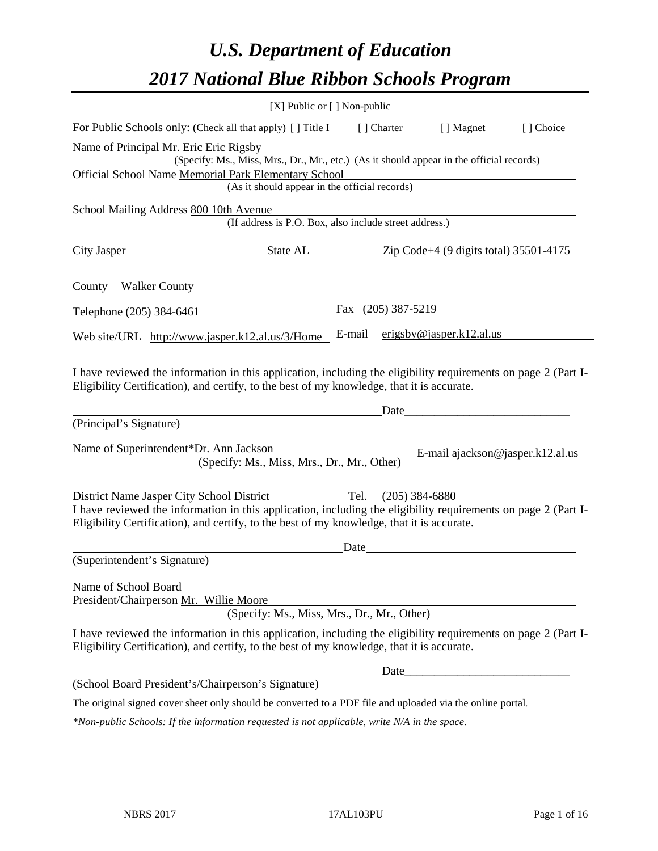# *U.S. Department of Education 2017 National Blue Ribbon Schools Program*

|                                                                                                                                                                                                              | [X] Public or [] Non-public                                                              |      |             |                                                                                  |           |
|--------------------------------------------------------------------------------------------------------------------------------------------------------------------------------------------------------------|------------------------------------------------------------------------------------------|------|-------------|----------------------------------------------------------------------------------|-----------|
| For Public Schools only: (Check all that apply) [] Title I                                                                                                                                                   |                                                                                          |      | [ ] Charter | [ ] Magnet                                                                       | [] Choice |
| Name of Principal Mr. Eric Eric Rigsby                                                                                                                                                                       |                                                                                          |      |             |                                                                                  |           |
|                                                                                                                                                                                                              | (Specify: Ms., Miss, Mrs., Dr., Mr., etc.) (As it should appear in the official records) |      |             |                                                                                  |           |
| Official School Name Memorial Park Elementary School<br>(As it should appear in the official records)                                                                                                        |                                                                                          |      |             |                                                                                  |           |
|                                                                                                                                                                                                              |                                                                                          |      |             |                                                                                  |           |
| School Mailing Address 800 10th Avenue                                                                                                                                                                       | (If address is P.O. Box, also include street address.)                                   |      |             |                                                                                  |           |
| City Jasper                                                                                                                                                                                                  | State AL Zip Code+4 (9 digits total) 35501-4175                                          |      |             |                                                                                  |           |
| County Walker County                                                                                                                                                                                         |                                                                                          |      |             |                                                                                  |           |
| Telephone (205) 384-6461                                                                                                                                                                                     |                                                                                          |      |             | Fax (205) 387-5219                                                               |           |
| Web site/URL http://www.jasper.k12.al.us/3/Home                                                                                                                                                              |                                                                                          |      |             | E-mail $\frac{\text{erigsby@jasper.k12.al.us}}{\text{erigsby@jasper.k12.al.us}}$ |           |
| Eligibility Certification), and certify, to the best of my knowledge, that it is accurate.<br>(Principal's Signature)                                                                                        |                                                                                          |      | Date        |                                                                                  |           |
| Name of Superintendent*Dr. Ann Jackson                                                                                                                                                                       | (Specify: Ms., Miss, Mrs., Dr., Mr., Other)                                              |      |             | E-mail ajackson@jasper.k12.al.us                                                 |           |
| District Name Jasper City School District Tel. (205) 384-6880                                                                                                                                                |                                                                                          |      |             |                                                                                  |           |
| I have reviewed the information in this application, including the eligibility requirements on page 2 (Part I-<br>Eligibility Certification), and certify, to the best of my knowledge, that it is accurate. |                                                                                          |      |             |                                                                                  |           |
|                                                                                                                                                                                                              |                                                                                          | Date |             |                                                                                  |           |
| (Superintendent's Signature)                                                                                                                                                                                 |                                                                                          |      |             |                                                                                  |           |
| Name of School Board<br>President/Chairperson Mr. Willie Moore                                                                                                                                               | (Specify: Ms., Miss, Mrs., Dr., Mr., Other)                                              |      |             |                                                                                  |           |
| I have reviewed the information in this application, including the eligibility requirements on page 2 (Part I-<br>Eligibility Certification), and certify, to the best of my knowledge, that it is accurate. |                                                                                          |      |             |                                                                                  |           |
|                                                                                                                                                                                                              |                                                                                          |      | Date        |                                                                                  |           |
| (School Board President's/Chairperson's Signature)                                                                                                                                                           |                                                                                          |      |             |                                                                                  |           |
| The original signed cover sheet only should be converted to a PDF file and uploaded via the online portal.                                                                                                   |                                                                                          |      |             |                                                                                  |           |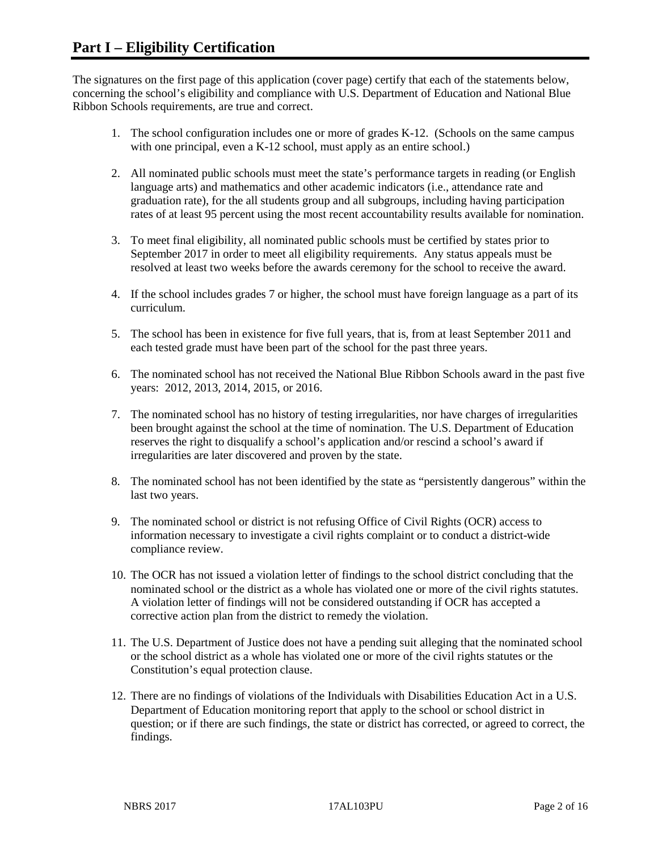The signatures on the first page of this application (cover page) certify that each of the statements below, concerning the school's eligibility and compliance with U.S. Department of Education and National Blue Ribbon Schools requirements, are true and correct.

- 1. The school configuration includes one or more of grades K-12. (Schools on the same campus with one principal, even a K-12 school, must apply as an entire school.)
- 2. All nominated public schools must meet the state's performance targets in reading (or English language arts) and mathematics and other academic indicators (i.e., attendance rate and graduation rate), for the all students group and all subgroups, including having participation rates of at least 95 percent using the most recent accountability results available for nomination.
- 3. To meet final eligibility, all nominated public schools must be certified by states prior to September 2017 in order to meet all eligibility requirements. Any status appeals must be resolved at least two weeks before the awards ceremony for the school to receive the award.
- 4. If the school includes grades 7 or higher, the school must have foreign language as a part of its curriculum.
- 5. The school has been in existence for five full years, that is, from at least September 2011 and each tested grade must have been part of the school for the past three years.
- 6. The nominated school has not received the National Blue Ribbon Schools award in the past five years: 2012, 2013, 2014, 2015, or 2016.
- 7. The nominated school has no history of testing irregularities, nor have charges of irregularities been brought against the school at the time of nomination. The U.S. Department of Education reserves the right to disqualify a school's application and/or rescind a school's award if irregularities are later discovered and proven by the state.
- 8. The nominated school has not been identified by the state as "persistently dangerous" within the last two years.
- 9. The nominated school or district is not refusing Office of Civil Rights (OCR) access to information necessary to investigate a civil rights complaint or to conduct a district-wide compliance review.
- 10. The OCR has not issued a violation letter of findings to the school district concluding that the nominated school or the district as a whole has violated one or more of the civil rights statutes. A violation letter of findings will not be considered outstanding if OCR has accepted a corrective action plan from the district to remedy the violation.
- 11. The U.S. Department of Justice does not have a pending suit alleging that the nominated school or the school district as a whole has violated one or more of the civil rights statutes or the Constitution's equal protection clause.
- 12. There are no findings of violations of the Individuals with Disabilities Education Act in a U.S. Department of Education monitoring report that apply to the school or school district in question; or if there are such findings, the state or district has corrected, or agreed to correct, the findings.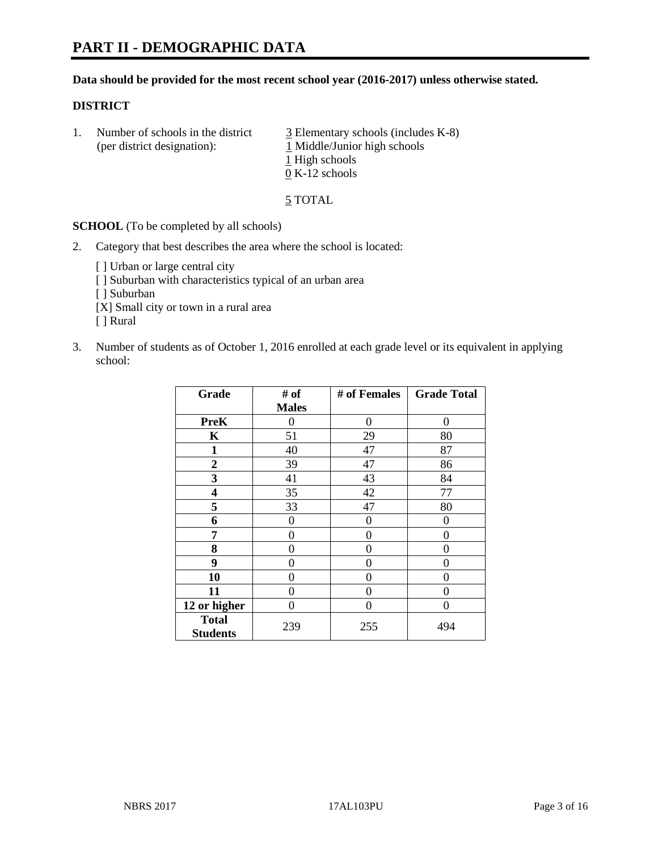#### **Data should be provided for the most recent school year (2016-2017) unless otherwise stated.**

#### **DISTRICT**

1. Number of schools in the district  $\frac{3}{2}$  Elementary schools (includes K-8) (per district designation): 1 Middle/Junior high schools 1 High schools 0 K-12 schools

5 TOTAL

**SCHOOL** (To be completed by all schools)

- 2. Category that best describes the area where the school is located:
	- [] Urban or large central city [ ] Suburban with characteristics typical of an urban area [ ] Suburban [X] Small city or town in a rural area [ ] Rural
- 3. Number of students as of October 1, 2016 enrolled at each grade level or its equivalent in applying school:

| Grade                           | # of         | # of Females | <b>Grade Total</b> |
|---------------------------------|--------------|--------------|--------------------|
|                                 | <b>Males</b> |              |                    |
| <b>PreK</b>                     | 0            | $\theta$     | 0                  |
| $\mathbf K$                     | 51           | 29           | 80                 |
| 1                               | 40           | 47           | 87                 |
| $\overline{2}$                  | 39           | 47           | 86                 |
| 3                               | 41           | 43           | 84                 |
| 4                               | 35           | 42           | 77                 |
| 5                               | 33           | 47           | 80                 |
| 6                               | 0            | 0            | 0                  |
| 7                               | 0            | 0            | 0                  |
| 8                               | 0            | 0            | 0                  |
| 9                               | 0            | 0            | 0                  |
| 10                              | 0            | 0            | 0                  |
| 11                              | 0            | 0            | $\mathbf{\Omega}$  |
| 12 or higher                    | 0            | 0            | 0                  |
| <b>Total</b><br><b>Students</b> | 239          | 255          | 494                |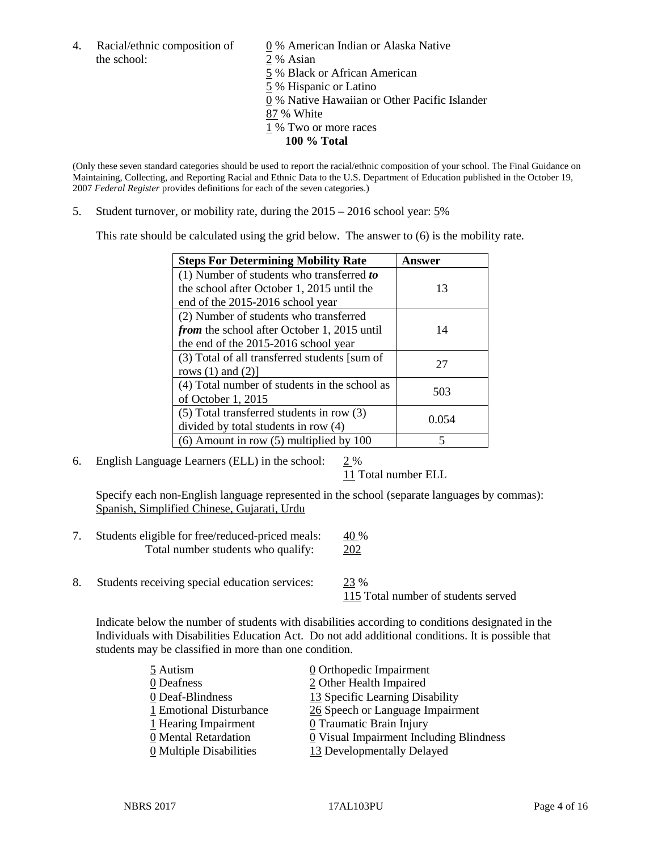the school: 2 % Asian

4. Racial/ethnic composition of  $\qquad 0 \%$  American Indian or Alaska Native % Black or African American % Hispanic or Latino % Native Hawaiian or Other Pacific Islander 87 % White % Two or more races

**100 % Total**

(Only these seven standard categories should be used to report the racial/ethnic composition of your school. The Final Guidance on Maintaining, Collecting, and Reporting Racial and Ethnic Data to the U.S. Department of Education published in the October 19, 2007 *Federal Register* provides definitions for each of the seven categories.)

5. Student turnover, or mobility rate, during the 2015 – 2016 school year: 5%

This rate should be calculated using the grid below. The answer to (6) is the mobility rate.

| <b>Steps For Determining Mobility Rate</b>         | <b>Answer</b> |  |
|----------------------------------------------------|---------------|--|
| (1) Number of students who transferred to          |               |  |
| the school after October 1, 2015 until the         | 13            |  |
| end of the 2015-2016 school year                   |               |  |
| (2) Number of students who transferred             |               |  |
| <i>from</i> the school after October 1, 2015 until | 14            |  |
| the end of the 2015-2016 school year               |               |  |
| (3) Total of all transferred students [sum of      | 27            |  |
| rows $(1)$ and $(2)$ ]                             |               |  |
| (4) Total number of students in the school as      | 503           |  |
| of October 1, 2015                                 |               |  |
| (5) Total transferred students in row (3)          | 0.054         |  |
| divided by total students in row (4)               |               |  |
| $(6)$ Amount in row $(5)$ multiplied by 100        | 5             |  |

6. English Language Learners (ELL) in the school:  $2\%$ 

11 Total number ELL

Specify each non-English language represented in the school (separate languages by commas): Spanish, Simplified Chinese, Gujarati, Urdu

- 7. Students eligible for free/reduced-priced meals: 40 % Total number students who qualify: 202
- 8. Students receiving special education services: 23 %

115 Total number of students served

Indicate below the number of students with disabilities according to conditions designated in the Individuals with Disabilities Education Act. Do not add additional conditions. It is possible that students may be classified in more than one condition.

| 5 Autism                              | $\underline{0}$ Orthopedic Impairment                 |
|---------------------------------------|-------------------------------------------------------|
| 0 Deafness                            | 2 Other Health Impaired                               |
| 0 Deaf-Blindness                      | 13 Specific Learning Disability                       |
| 1 Emotional Disturbance               | 26 Speech or Language Impairment                      |
| 1 Hearing Impairment                  | 0 Traumatic Brain Injury                              |
| 0 Mental Retardation                  | $\underline{0}$ Visual Impairment Including Blindness |
| $\underline{0}$ Multiple Disabilities | 13 Developmentally Delayed                            |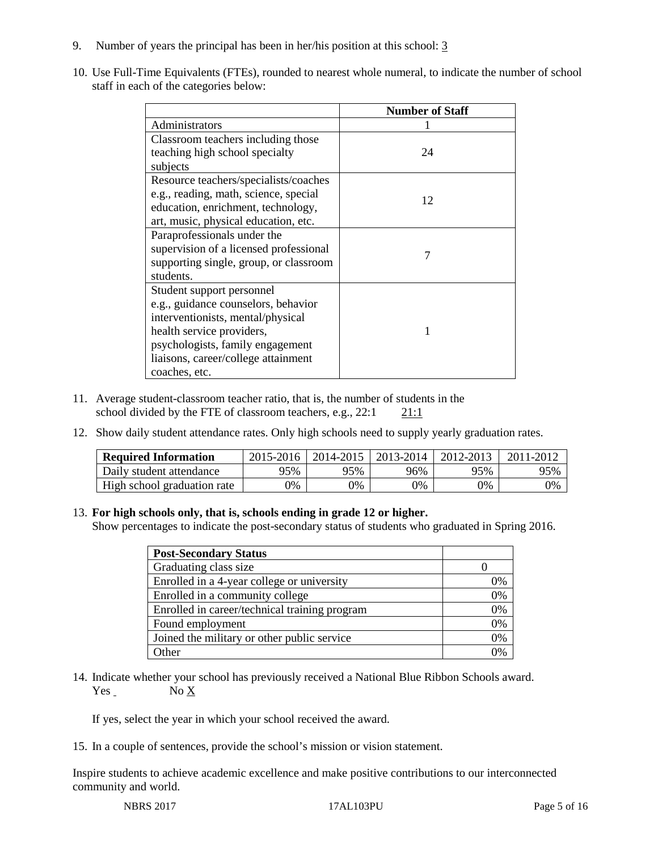- 9. Number of years the principal has been in her/his position at this school: 3
- 10. Use Full-Time Equivalents (FTEs), rounded to nearest whole numeral, to indicate the number of school staff in each of the categories below:

|                                        | <b>Number of Staff</b> |
|----------------------------------------|------------------------|
| Administrators                         |                        |
| Classroom teachers including those     |                        |
| teaching high school specialty         | 24                     |
| subjects                               |                        |
| Resource teachers/specialists/coaches  |                        |
| e.g., reading, math, science, special  | 12                     |
| education, enrichment, technology,     |                        |
| art, music, physical education, etc.   |                        |
| Paraprofessionals under the            |                        |
| supervision of a licensed professional |                        |
| supporting single, group, or classroom |                        |
| students.                              |                        |
| Student support personnel              |                        |
| e.g., guidance counselors, behavior    |                        |
| interventionists, mental/physical      |                        |
| health service providers,              |                        |
| psychologists, family engagement       |                        |
| liaisons, career/college attainment    |                        |
| coaches, etc.                          |                        |

- 11. Average student-classroom teacher ratio, that is, the number of students in the school divided by the FTE of classroom teachers, e.g., 22:1 21:1
- 12. Show daily student attendance rates. Only high schools need to supply yearly graduation rates.

| <b>Required Information</b> | 2015-2016 | 2014-2015 | 2013-2014 | 2012-2013 |     |
|-----------------------------|-----------|-----------|-----------|-----------|-----|
| Daily student attendance    | 95%       | 95%       | 96%       | 95%       | 95% |
| High school graduation rate | 0%        | 0%        | 0%        | 9%        | 0%  |

#### 13. **For high schools only, that is, schools ending in grade 12 or higher.**

Show percentages to indicate the post-secondary status of students who graduated in Spring 2016.

| <b>Post-Secondary Status</b>                  |    |
|-----------------------------------------------|----|
| Graduating class size                         |    |
| Enrolled in a 4-year college or university    | 0% |
| Enrolled in a community college               | 0% |
| Enrolled in career/technical training program | 0% |
| Found employment                              | 0% |
| Joined the military or other public service   | 0% |
| Other                                         |    |

14. Indicate whether your school has previously received a National Blue Ribbon Schools award.  $Yes$  No  $X$ 

If yes, select the year in which your school received the award.

15. In a couple of sentences, provide the school's mission or vision statement.

Inspire students to achieve academic excellence and make positive contributions to our interconnected community and world.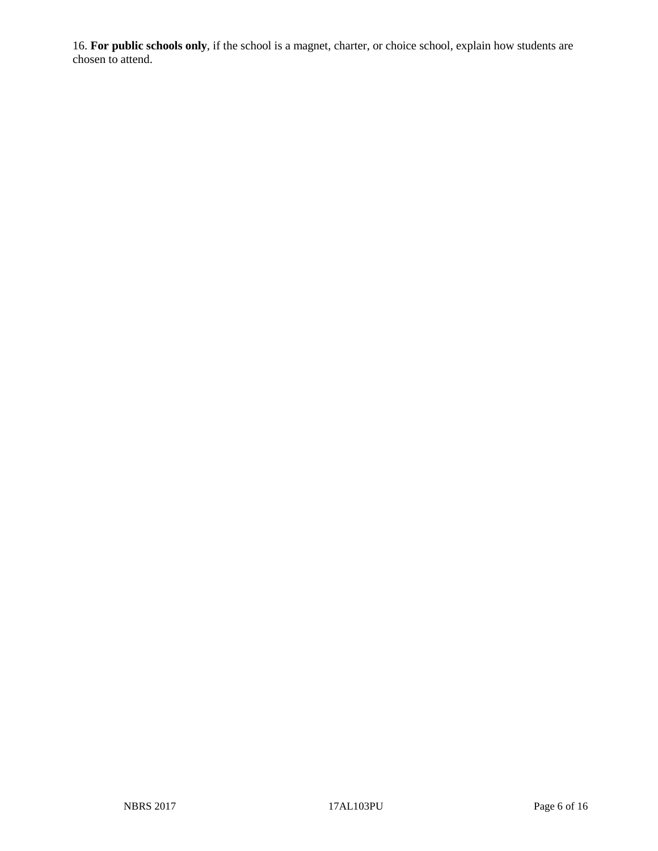16. **For public schools only**, if the school is a magnet, charter, or choice school, explain how students are chosen to attend.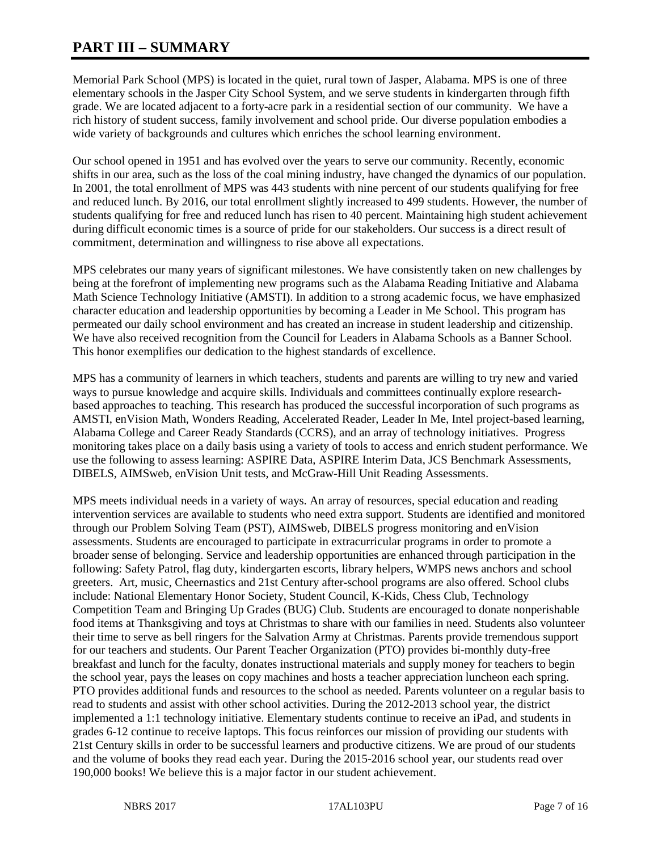# **PART III – SUMMARY**

Memorial Park School (MPS) is located in the quiet, rural town of Jasper, Alabama. MPS is one of three elementary schools in the Jasper City School System, and we serve students in kindergarten through fifth grade. We are located adjacent to a forty-acre park in a residential section of our community. We have a rich history of student success, family involvement and school pride. Our diverse population embodies a wide variety of backgrounds and cultures which enriches the school learning environment.

Our school opened in 1951 and has evolved over the years to serve our community. Recently, economic shifts in our area, such as the loss of the coal mining industry, have changed the dynamics of our population. In 2001, the total enrollment of MPS was 443 students with nine percent of our students qualifying for free and reduced lunch. By 2016, our total enrollment slightly increased to 499 students. However, the number of students qualifying for free and reduced lunch has risen to 40 percent. Maintaining high student achievement during difficult economic times is a source of pride for our stakeholders. Our success is a direct result of commitment, determination and willingness to rise above all expectations.

MPS celebrates our many years of significant milestones. We have consistently taken on new challenges by being at the forefront of implementing new programs such as the Alabama Reading Initiative and Alabama Math Science Technology Initiative (AMSTI). In addition to a strong academic focus, we have emphasized character education and leadership opportunities by becoming a Leader in Me School. This program has permeated our daily school environment and has created an increase in student leadership and citizenship. We have also received recognition from the Council for Leaders in Alabama Schools as a Banner School. This honor exemplifies our dedication to the highest standards of excellence.

MPS has a community of learners in which teachers, students and parents are willing to try new and varied ways to pursue knowledge and acquire skills. Individuals and committees continually explore researchbased approaches to teaching. This research has produced the successful incorporation of such programs as AMSTI, enVision Math, Wonders Reading, Accelerated Reader, Leader In Me, Intel project-based learning, Alabama College and Career Ready Standards (CCRS), and an array of technology initiatives. Progress monitoring takes place on a daily basis using a variety of tools to access and enrich student performance. We use the following to assess learning: ASPIRE Data, ASPIRE Interim Data, JCS Benchmark Assessments, DIBELS, AIMSweb, enVision Unit tests, and McGraw-Hill Unit Reading Assessments.

MPS meets individual needs in a variety of ways. An array of resources, special education and reading intervention services are available to students who need extra support. Students are identified and monitored through our Problem Solving Team (PST), AIMSweb, DIBELS progress monitoring and enVision assessments. Students are encouraged to participate in extracurricular programs in order to promote a broader sense of belonging. Service and leadership opportunities are enhanced through participation in the following: Safety Patrol, flag duty, kindergarten escorts, library helpers, WMPS news anchors and school greeters. Art, music, Cheernastics and 21st Century after-school programs are also offered. School clubs include: National Elementary Honor Society, Student Council, K-Kids, Chess Club, Technology Competition Team and Bringing Up Grades (BUG) Club. Students are encouraged to donate nonperishable food items at Thanksgiving and toys at Christmas to share with our families in need. Students also volunteer their time to serve as bell ringers for the Salvation Army at Christmas. Parents provide tremendous support for our teachers and students. Our Parent Teacher Organization (PTO) provides bi-monthly duty-free breakfast and lunch for the faculty, donates instructional materials and supply money for teachers to begin the school year, pays the leases on copy machines and hosts a teacher appreciation luncheon each spring. PTO provides additional funds and resources to the school as needed. Parents volunteer on a regular basis to read to students and assist with other school activities. During the 2012-2013 school year, the district implemented a 1:1 technology initiative. Elementary students continue to receive an iPad, and students in grades 6-12 continue to receive laptops. This focus reinforces our mission of providing our students with 21st Century skills in order to be successful learners and productive citizens. We are proud of our students and the volume of books they read each year. During the 2015-2016 school year, our students read over 190,000 books! We believe this is a major factor in our student achievement.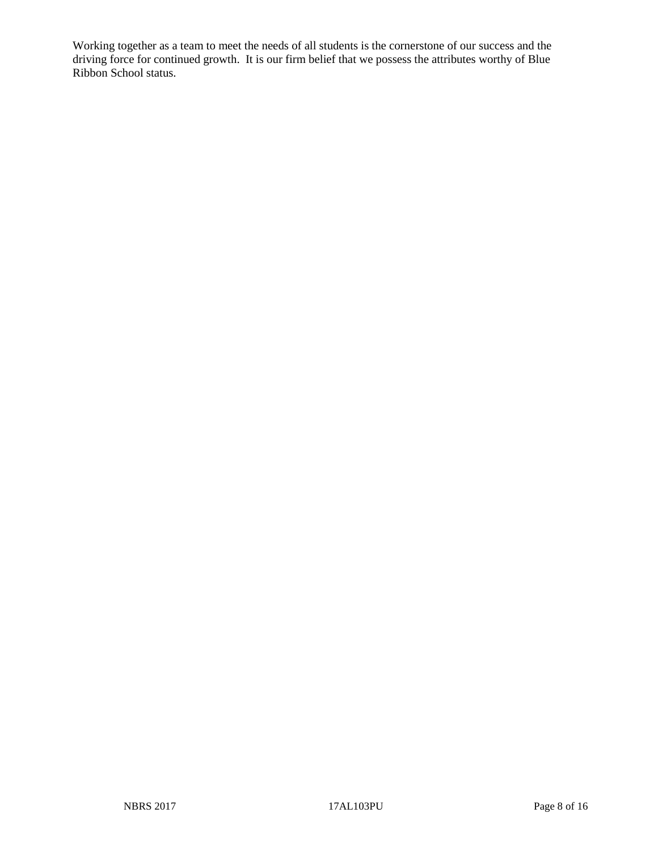Working together as a team to meet the needs of all students is the cornerstone of our success and the driving force for continued growth. It is our firm belief that we possess the attributes worthy of Blue Ribbon School status.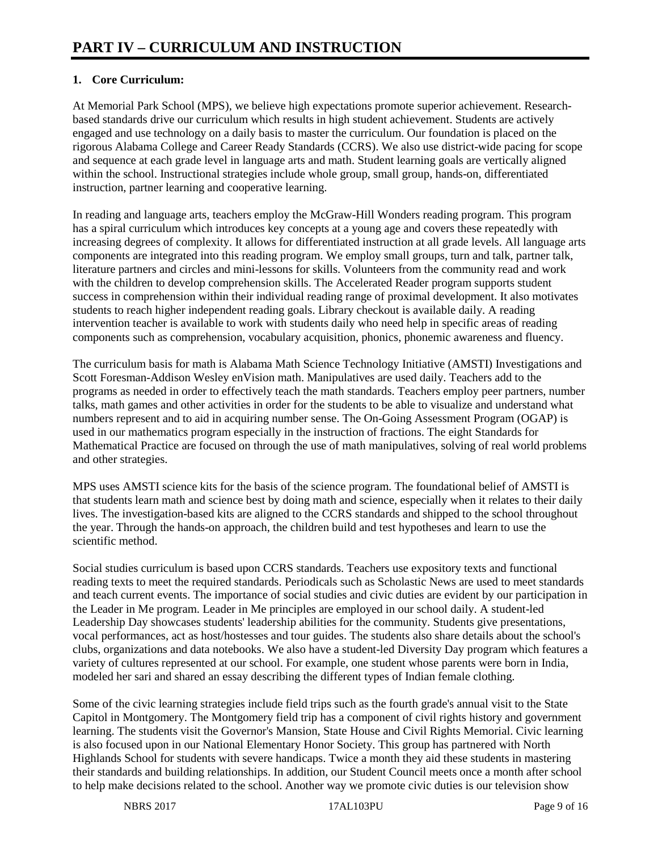## **1. Core Curriculum:**

At Memorial Park School (MPS), we believe high expectations promote superior achievement. Researchbased standards drive our curriculum which results in high student achievement. Students are actively engaged and use technology on a daily basis to master the curriculum. Our foundation is placed on the rigorous Alabama College and Career Ready Standards (CCRS). We also use district-wide pacing for scope and sequence at each grade level in language arts and math. Student learning goals are vertically aligned within the school. Instructional strategies include whole group, small group, hands-on, differentiated instruction, partner learning and cooperative learning.

In reading and language arts, teachers employ the McGraw-Hill Wonders reading program. This program has a spiral curriculum which introduces key concepts at a young age and covers these repeatedly with increasing degrees of complexity. It allows for differentiated instruction at all grade levels. All language arts components are integrated into this reading program. We employ small groups, turn and talk, partner talk, literature partners and circles and mini-lessons for skills. Volunteers from the community read and work with the children to develop comprehension skills. The Accelerated Reader program supports student success in comprehension within their individual reading range of proximal development. It also motivates students to reach higher independent reading goals. Library checkout is available daily. A reading intervention teacher is available to work with students daily who need help in specific areas of reading components such as comprehension, vocabulary acquisition, phonics, phonemic awareness and fluency.

The curriculum basis for math is Alabama Math Science Technology Initiative (AMSTI) Investigations and Scott Foresman-Addison Wesley enVision math. Manipulatives are used daily. Teachers add to the programs as needed in order to effectively teach the math standards. Teachers employ peer partners, number talks, math games and other activities in order for the students to be able to visualize and understand what numbers represent and to aid in acquiring number sense. The On-Going Assessment Program (OGAP) is used in our mathematics program especially in the instruction of fractions. The eight Standards for Mathematical Practice are focused on through the use of math manipulatives, solving of real world problems and other strategies.

MPS uses AMSTI science kits for the basis of the science program. The foundational belief of AMSTI is that students learn math and science best by doing math and science, especially when it relates to their daily lives. The investigation-based kits are aligned to the CCRS standards and shipped to the school throughout the year. Through the hands-on approach, the children build and test hypotheses and learn to use the scientific method.

Social studies curriculum is based upon CCRS standards. Teachers use expository texts and functional reading texts to meet the required standards. Periodicals such as Scholastic News are used to meet standards and teach current events. The importance of social studies and civic duties are evident by our participation in the Leader in Me program. Leader in Me principles are employed in our school daily. A student-led Leadership Day showcases students' leadership abilities for the community. Students give presentations, vocal performances, act as host/hostesses and tour guides. The students also share details about the school's clubs, organizations and data notebooks. We also have a student-led Diversity Day program which features a variety of cultures represented at our school. For example, one student whose parents were born in India, modeled her sari and shared an essay describing the different types of Indian female clothing.

Some of the civic learning strategies include field trips such as the fourth grade's annual visit to the State Capitol in Montgomery. The Montgomery field trip has a component of civil rights history and government learning. The students visit the Governor's Mansion, State House and Civil Rights Memorial. Civic learning is also focused upon in our National Elementary Honor Society. This group has partnered with North Highlands School for students with severe handicaps. Twice a month they aid these students in mastering their standards and building relationships. In addition, our Student Council meets once a month after school to help make decisions related to the school. Another way we promote civic duties is our television show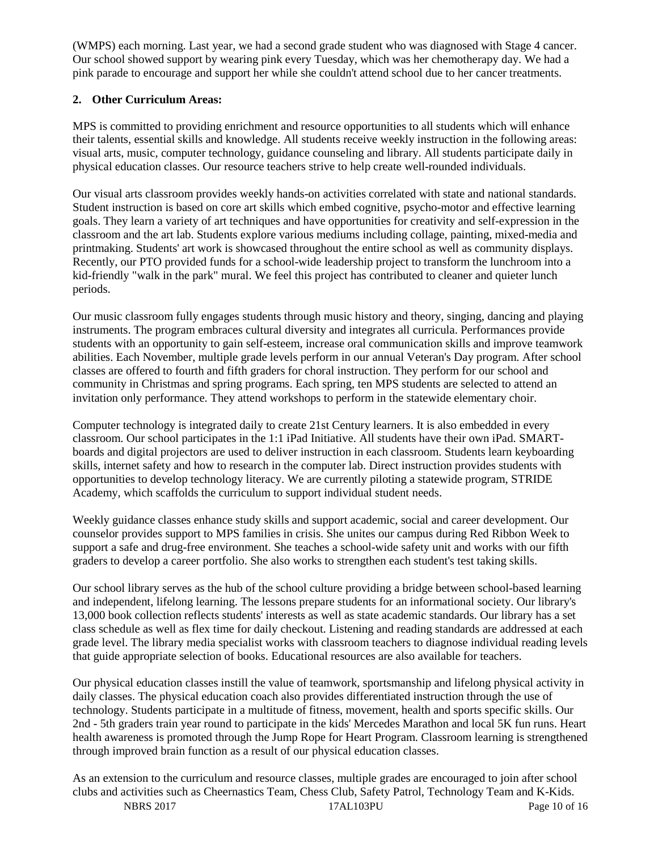(WMPS) each morning. Last year, we had a second grade student who was diagnosed with Stage 4 cancer. Our school showed support by wearing pink every Tuesday, which was her chemotherapy day. We had a pink parade to encourage and support her while she couldn't attend school due to her cancer treatments.

## **2. Other Curriculum Areas:**

MPS is committed to providing enrichment and resource opportunities to all students which will enhance their talents, essential skills and knowledge. All students receive weekly instruction in the following areas: visual arts, music, computer technology, guidance counseling and library. All students participate daily in physical education classes. Our resource teachers strive to help create well-rounded individuals.

Our visual arts classroom provides weekly hands-on activities correlated with state and national standards. Student instruction is based on core art skills which embed cognitive, psycho-motor and effective learning goals. They learn a variety of art techniques and have opportunities for creativity and self-expression in the classroom and the art lab. Students explore various mediums including collage, painting, mixed-media and printmaking. Students' art work is showcased throughout the entire school as well as community displays. Recently, our PTO provided funds for a school-wide leadership project to transform the lunchroom into a kid-friendly "walk in the park" mural. We feel this project has contributed to cleaner and quieter lunch periods.

Our music classroom fully engages students through music history and theory, singing, dancing and playing instruments. The program embraces cultural diversity and integrates all curricula. Performances provide students with an opportunity to gain self-esteem, increase oral communication skills and improve teamwork abilities. Each November, multiple grade levels perform in our annual Veteran's Day program. After school classes are offered to fourth and fifth graders for choral instruction. They perform for our school and community in Christmas and spring programs. Each spring, ten MPS students are selected to attend an invitation only performance. They attend workshops to perform in the statewide elementary choir.

Computer technology is integrated daily to create 21st Century learners. It is also embedded in every classroom. Our school participates in the 1:1 iPad Initiative. All students have their own iPad. SMARTboards and digital projectors are used to deliver instruction in each classroom. Students learn keyboarding skills, internet safety and how to research in the computer lab. Direct instruction provides students with opportunities to develop technology literacy. We are currently piloting a statewide program, STRIDE Academy, which scaffolds the curriculum to support individual student needs.

Weekly guidance classes enhance study skills and support academic, social and career development. Our counselor provides support to MPS families in crisis. She unites our campus during Red Ribbon Week to support a safe and drug-free environment. She teaches a school-wide safety unit and works with our fifth graders to develop a career portfolio. She also works to strengthen each student's test taking skills.

Our school library serves as the hub of the school culture providing a bridge between school-based learning and independent, lifelong learning. The lessons prepare students for an informational society. Our library's 13,000 book collection reflects students' interests as well as state academic standards. Our library has a set class schedule as well as flex time for daily checkout. Listening and reading standards are addressed at each grade level. The library media specialist works with classroom teachers to diagnose individual reading levels that guide appropriate selection of books. Educational resources are also available for teachers.

Our physical education classes instill the value of teamwork, sportsmanship and lifelong physical activity in daily classes. The physical education coach also provides differentiated instruction through the use of technology. Students participate in a multitude of fitness, movement, health and sports specific skills. Our 2nd - 5th graders train year round to participate in the kids' Mercedes Marathon and local 5K fun runs. Heart health awareness is promoted through the Jump Rope for Heart Program. Classroom learning is strengthened through improved brain function as a result of our physical education classes.

NBRS 2017 17AL103PU Page 10 of 16 As an extension to the curriculum and resource classes, multiple grades are encouraged to join after school clubs and activities such as Cheernastics Team, Chess Club, Safety Patrol, Technology Team and K-Kids.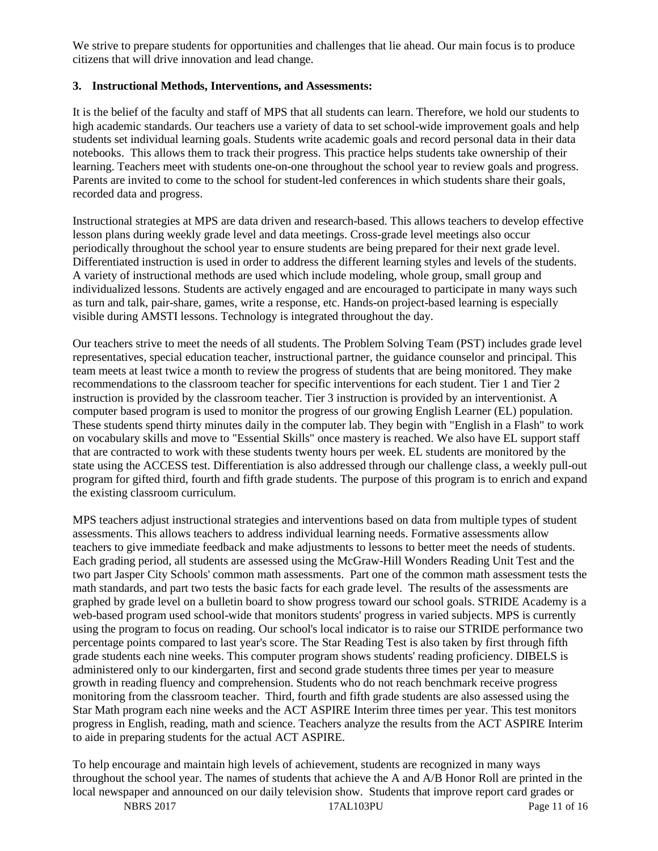We strive to prepare students for opportunities and challenges that lie ahead. Our main focus is to produce citizens that will drive innovation and lead change.

#### **3. Instructional Methods, Interventions, and Assessments:**

It is the belief of the faculty and staff of MPS that all students can learn. Therefore, we hold our students to high academic standards. Our teachers use a variety of data to set school-wide improvement goals and help students set individual learning goals. Students write academic goals and record personal data in their data notebooks. This allows them to track their progress. This practice helps students take ownership of their learning. Teachers meet with students one-on-one throughout the school year to review goals and progress. Parents are invited to come to the school for student-led conferences in which students share their goals, recorded data and progress.

Instructional strategies at MPS are data driven and research-based. This allows teachers to develop effective lesson plans during weekly grade level and data meetings. Cross-grade level meetings also occur periodically throughout the school year to ensure students are being prepared for their next grade level. Differentiated instruction is used in order to address the different learning styles and levels of the students. A variety of instructional methods are used which include modeling, whole group, small group and individualized lessons. Students are actively engaged and are encouraged to participate in many ways such as turn and talk, pair-share, games, write a response, etc. Hands-on project-based learning is especially visible during AMSTI lessons. Technology is integrated throughout the day.

Our teachers strive to meet the needs of all students. The Problem Solving Team (PST) includes grade level representatives, special education teacher, instructional partner, the guidance counselor and principal. This team meets at least twice a month to review the progress of students that are being monitored. They make recommendations to the classroom teacher for specific interventions for each student. Tier 1 and Tier 2 instruction is provided by the classroom teacher. Tier 3 instruction is provided by an interventionist. A computer based program is used to monitor the progress of our growing English Learner (EL) population. These students spend thirty minutes daily in the computer lab. They begin with "English in a Flash" to work on vocabulary skills and move to "Essential Skills" once mastery is reached. We also have EL support staff that are contracted to work with these students twenty hours per week. EL students are monitored by the state using the ACCESS test. Differentiation is also addressed through our challenge class, a weekly pull-out program for gifted third, fourth and fifth grade students. The purpose of this program is to enrich and expand the existing classroom curriculum.

MPS teachers adjust instructional strategies and interventions based on data from multiple types of student assessments. This allows teachers to address individual learning needs. Formative assessments allow teachers to give immediate feedback and make adjustments to lessons to better meet the needs of students. Each grading period, all students are assessed using the McGraw-Hill Wonders Reading Unit Test and the two part Jasper City Schools' common math assessments. Part one of the common math assessment tests the math standards, and part two tests the basic facts for each grade level. The results of the assessments are graphed by grade level on a bulletin board to show progress toward our school goals. STRIDE Academy is a web-based program used school-wide that monitors students' progress in varied subjects. MPS is currently using the program to focus on reading. Our school's local indicator is to raise our STRIDE performance two percentage points compared to last year's score. The Star Reading Test is also taken by first through fifth grade students each nine weeks. This computer program shows students' reading proficiency. DIBELS is administered only to our kindergarten, first and second grade students three times per year to measure growth in reading fluency and comprehension. Students who do not reach benchmark receive progress monitoring from the classroom teacher. Third, fourth and fifth grade students are also assessed using the Star Math program each nine weeks and the ACT ASPIRE Interim three times per year. This test monitors progress in English, reading, math and science. Teachers analyze the results from the ACT ASPIRE Interim to aide in preparing students for the actual ACT ASPIRE.

To help encourage and maintain high levels of achievement, students are recognized in many ways throughout the school year. The names of students that achieve the A and A/B Honor Roll are printed in the local newspaper and announced on our daily television show. Students that improve report card grades or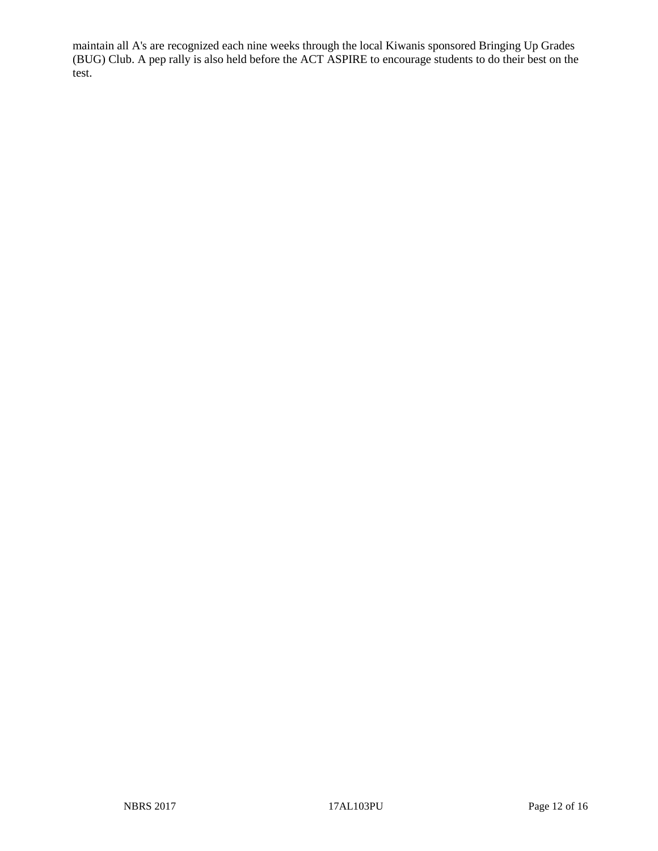maintain all A's are recognized each nine weeks through the local Kiwanis sponsored Bringing Up Grades (BUG) Club. A pep rally is also held before the ACT ASPIRE to encourage students to do their best on the test.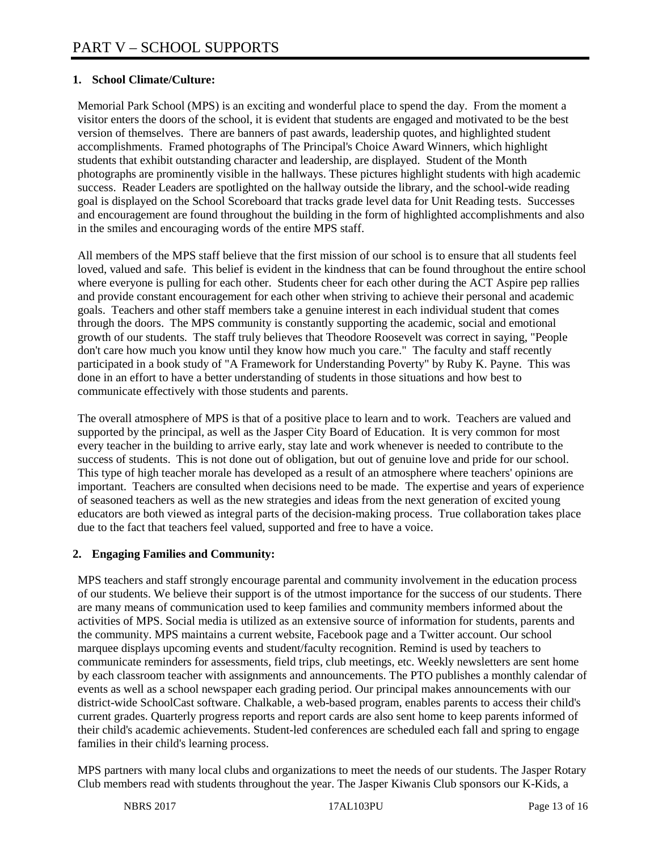## **1. School Climate/Culture:**

Memorial Park School (MPS) is an exciting and wonderful place to spend the day. From the moment a visitor enters the doors of the school, it is evident that students are engaged and motivated to be the best version of themselves. There are banners of past awards, leadership quotes, and highlighted student accomplishments. Framed photographs of The Principal's Choice Award Winners, which highlight students that exhibit outstanding character and leadership, are displayed. Student of the Month photographs are prominently visible in the hallways. These pictures highlight students with high academic success. Reader Leaders are spotlighted on the hallway outside the library, and the school-wide reading goal is displayed on the School Scoreboard that tracks grade level data for Unit Reading tests. Successes and encouragement are found throughout the building in the form of highlighted accomplishments and also in the smiles and encouraging words of the entire MPS staff.

All members of the MPS staff believe that the first mission of our school is to ensure that all students feel loved, valued and safe. This belief is evident in the kindness that can be found throughout the entire school where everyone is pulling for each other. Students cheer for each other during the ACT Aspire pep rallies and provide constant encouragement for each other when striving to achieve their personal and academic goals. Teachers and other staff members take a genuine interest in each individual student that comes through the doors. The MPS community is constantly supporting the academic, social and emotional growth of our students. The staff truly believes that Theodore Roosevelt was correct in saying, "People don't care how much you know until they know how much you care." The faculty and staff recently participated in a book study of "A Framework for Understanding Poverty" by Ruby K. Payne. This was done in an effort to have a better understanding of students in those situations and how best to communicate effectively with those students and parents.

The overall atmosphere of MPS is that of a positive place to learn and to work. Teachers are valued and supported by the principal, as well as the Jasper City Board of Education. It is very common for most every teacher in the building to arrive early, stay late and work whenever is needed to contribute to the success of students. This is not done out of obligation, but out of genuine love and pride for our school. This type of high teacher morale has developed as a result of an atmosphere where teachers' opinions are important. Teachers are consulted when decisions need to be made. The expertise and years of experience of seasoned teachers as well as the new strategies and ideas from the next generation of excited young educators are both viewed as integral parts of the decision-making process. True collaboration takes place due to the fact that teachers feel valued, supported and free to have a voice.

#### **2. Engaging Families and Community:**

MPS teachers and staff strongly encourage parental and community involvement in the education process of our students. We believe their support is of the utmost importance for the success of our students. There are many means of communication used to keep families and community members informed about the activities of MPS. Social media is utilized as an extensive source of information for students, parents and the community. MPS maintains a current website, Facebook page and a Twitter account. Our school marquee displays upcoming events and student/faculty recognition. Remind is used by teachers to communicate reminders for assessments, field trips, club meetings, etc. Weekly newsletters are sent home by each classroom teacher with assignments and announcements. The PTO publishes a monthly calendar of events as well as a school newspaper each grading period. Our principal makes announcements with our district-wide SchoolCast software. Chalkable, a web-based program, enables parents to access their child's current grades. Quarterly progress reports and report cards are also sent home to keep parents informed of their child's academic achievements. Student-led conferences are scheduled each fall and spring to engage families in their child's learning process.

MPS partners with many local clubs and organizations to meet the needs of our students. The Jasper Rotary Club members read with students throughout the year. The Jasper Kiwanis Club sponsors our K-Kids, a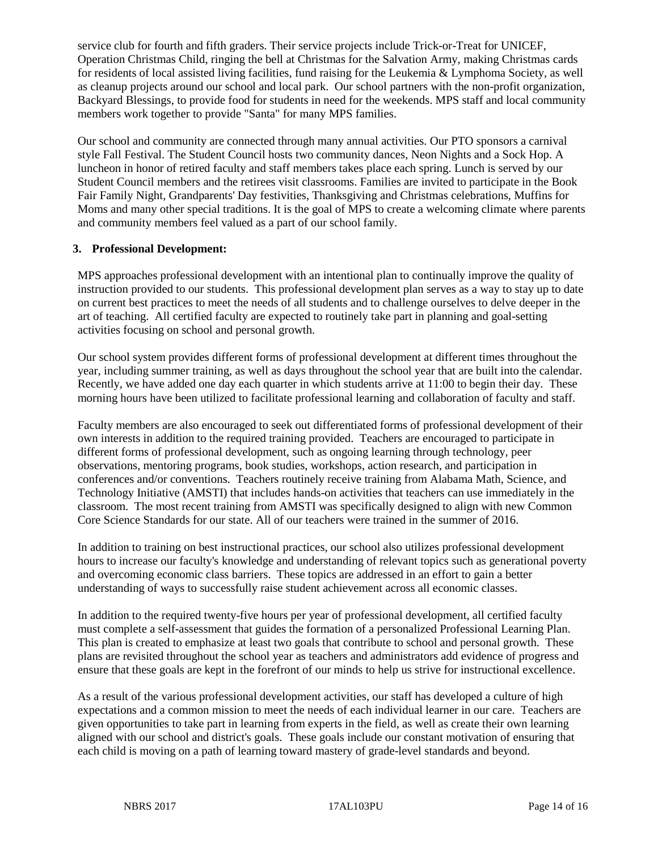service club for fourth and fifth graders. Their service projects include Trick-or-Treat for UNICEF, Operation Christmas Child, ringing the bell at Christmas for the Salvation Army, making Christmas cards for residents of local assisted living facilities, fund raising for the Leukemia & Lymphoma Society, as well as cleanup projects around our school and local park. Our school partners with the non-profit organization, Backyard Blessings, to provide food for students in need for the weekends. MPS staff and local community members work together to provide "Santa" for many MPS families.

Our school and community are connected through many annual activities. Our PTO sponsors a carnival style Fall Festival. The Student Council hosts two community dances, Neon Nights and a Sock Hop. A luncheon in honor of retired faculty and staff members takes place each spring. Lunch is served by our Student Council members and the retirees visit classrooms. Families are invited to participate in the Book Fair Family Night, Grandparents' Day festivities, Thanksgiving and Christmas celebrations, Muffins for Moms and many other special traditions. It is the goal of MPS to create a welcoming climate where parents and community members feel valued as a part of our school family.

#### **3. Professional Development:**

MPS approaches professional development with an intentional plan to continually improve the quality of instruction provided to our students. This professional development plan serves as a way to stay up to date on current best practices to meet the needs of all students and to challenge ourselves to delve deeper in the art of teaching. All certified faculty are expected to routinely take part in planning and goal-setting activities focusing on school and personal growth.

Our school system provides different forms of professional development at different times throughout the year, including summer training, as well as days throughout the school year that are built into the calendar. Recently, we have added one day each quarter in which students arrive at 11:00 to begin their day. These morning hours have been utilized to facilitate professional learning and collaboration of faculty and staff.

Faculty members are also encouraged to seek out differentiated forms of professional development of their own interests in addition to the required training provided. Teachers are encouraged to participate in different forms of professional development, such as ongoing learning through technology, peer observations, mentoring programs, book studies, workshops, action research, and participation in conferences and/or conventions. Teachers routinely receive training from Alabama Math, Science, and Technology Initiative (AMSTI) that includes hands-on activities that teachers can use immediately in the classroom. The most recent training from AMSTI was specifically designed to align with new Common Core Science Standards for our state. All of our teachers were trained in the summer of 2016.

In addition to training on best instructional practices, our school also utilizes professional development hours to increase our faculty's knowledge and understanding of relevant topics such as generational poverty and overcoming economic class barriers. These topics are addressed in an effort to gain a better understanding of ways to successfully raise student achievement across all economic classes.

In addition to the required twenty-five hours per year of professional development, all certified faculty must complete a self-assessment that guides the formation of a personalized Professional Learning Plan. This plan is created to emphasize at least two goals that contribute to school and personal growth. These plans are revisited throughout the school year as teachers and administrators add evidence of progress and ensure that these goals are kept in the forefront of our minds to help us strive for instructional excellence.

As a result of the various professional development activities, our staff has developed a culture of high expectations and a common mission to meet the needs of each individual learner in our care. Teachers are given opportunities to take part in learning from experts in the field, as well as create their own learning aligned with our school and district's goals. These goals include our constant motivation of ensuring that each child is moving on a path of learning toward mastery of grade-level standards and beyond.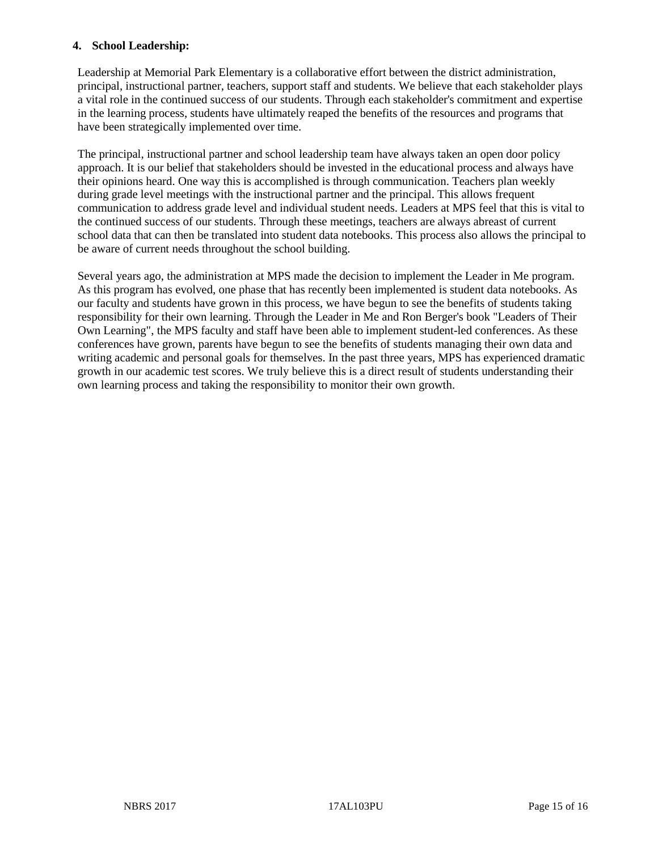#### **4. School Leadership:**

Leadership at Memorial Park Elementary is a collaborative effort between the district administration, principal, instructional partner, teachers, support staff and students. We believe that each stakeholder plays a vital role in the continued success of our students. Through each stakeholder's commitment and expertise in the learning process, students have ultimately reaped the benefits of the resources and programs that have been strategically implemented over time.

The principal, instructional partner and school leadership team have always taken an open door policy approach. It is our belief that stakeholders should be invested in the educational process and always have their opinions heard. One way this is accomplished is through communication. Teachers plan weekly during grade level meetings with the instructional partner and the principal. This allows frequent communication to address grade level and individual student needs. Leaders at MPS feel that this is vital to the continued success of our students. Through these meetings, teachers are always abreast of current school data that can then be translated into student data notebooks. This process also allows the principal to be aware of current needs throughout the school building.

Several years ago, the administration at MPS made the decision to implement the Leader in Me program. As this program has evolved, one phase that has recently been implemented is student data notebooks. As our faculty and students have grown in this process, we have begun to see the benefits of students taking responsibility for their own learning. Through the Leader in Me and Ron Berger's book "Leaders of Their Own Learning", the MPS faculty and staff have been able to implement student-led conferences. As these conferences have grown, parents have begun to see the benefits of students managing their own data and writing academic and personal goals for themselves. In the past three years, MPS has experienced dramatic growth in our academic test scores. We truly believe this is a direct result of students understanding their own learning process and taking the responsibility to monitor their own growth.